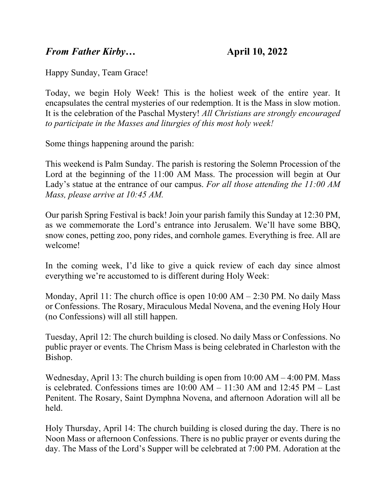## *From Father Kirby*… **April 10, 2022**

Happy Sunday, Team Grace!

Today, we begin Holy Week! This is the holiest week of the entire year. It encapsulates the central mysteries of our redemption. It is the Mass in slow motion. It is the celebration of the Paschal Mystery! *All Christians are strongly encouraged to participate in the Masses and liturgies of this most holy week!*

Some things happening around the parish:

This weekend is Palm Sunday. The parish is restoring the Solemn Procession of the Lord at the beginning of the 11:00 AM Mass. The procession will begin at Our Lady's statue at the entrance of our campus. *For all those attending the 11:00 AM Mass, please arrive at 10:45 AM.*

Our parish Spring Festival is back! Join your parish family this Sunday at 12:30 PM, as we commemorate the Lord's entrance into Jerusalem. We'll have some BBQ, snow cones, petting zoo, pony rides, and cornhole games. Everything is free. All are welcome!

In the coming week, I'd like to give a quick review of each day since almost everything we're accustomed to is different during Holy Week:

Monday, April 11: The church office is open  $10:00$  AM  $- 2:30$  PM. No daily Mass or Confessions. The Rosary, Miraculous Medal Novena, and the evening Holy Hour (no Confessions) will all still happen.

Tuesday, April 12: The church building is closed. No daily Mass or Confessions. No public prayer or events. The Chrism Mass is being celebrated in Charleston with the Bishop.

Wednesday, April 13: The church building is open from 10:00 AM – 4:00 PM. Mass is celebrated. Confessions times are  $10:00$  AM –  $11:30$  AM and  $12:45$  PM – Last Penitent. The Rosary, Saint Dymphna Novena, and afternoon Adoration will all be held.

Holy Thursday, April 14: The church building is closed during the day. There is no Noon Mass or afternoon Confessions. There is no public prayer or events during the day. The Mass of the Lord's Supper will be celebrated at 7:00 PM. Adoration at the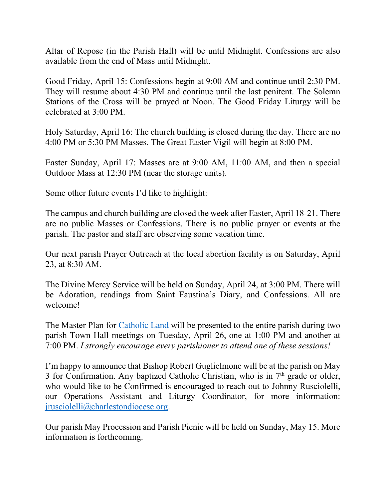Altar of Repose (in the Parish Hall) will be until Midnight. Confessions are also available from the end of Mass until Midnight.

Good Friday, April 15: Confessions begin at 9:00 AM and continue until 2:30 PM. They will resume about 4:30 PM and continue until the last penitent. The Solemn Stations of the Cross will be prayed at Noon. The Good Friday Liturgy will be celebrated at 3:00 PM.

Holy Saturday, April 16: The church building is closed during the day. There are no 4:00 PM or 5:30 PM Masses. The Great Easter Vigil will begin at 8:00 PM.

Easter Sunday, April 17: Masses are at 9:00 AM, 11:00 AM, and then a special Outdoor Mass at 12:30 PM (near the storage units).

Some other future events I'd like to highlight:

The campus and church building are closed the week after Easter, April 18-21. There are no public Masses or Confessions. There is no public prayer or events at the parish. The pastor and staff are observing some vacation time.

Our next parish Prayer Outreach at the local abortion facility is on Saturday, April 23, at 8:30 AM.

The Divine Mercy Service will be held on Sunday, April 24, at 3:00 PM. There will be Adoration, readings from Saint Faustina's Diary, and Confessions. All are welcome!

The Master Plan for [Catholic Land](https://gracewepray.org/about/our-future/) will be presented to the entire parish during two parish Town Hall meetings on Tuesday, April 26, one at 1:00 PM and another at 7:00 PM. *I strongly encourage every parishioner to attend one of these sessions!*

I'm happy to announce that Bishop Robert Guglielmone will be at the parish on May 3 for Confirmation. Any baptized Catholic Christian, who is in  $7<sup>th</sup>$  grade or older, who would like to be Confirmed is encouraged to reach out to Johnny Rusciolelli, our Operations Assistant and Liturgy Coordinator, for more information: [jrusciolelli@charlestondiocese.org.](mailto:jrusciolelli@charlestondiocese.org)

Our parish May Procession and Parish Picnic will be held on Sunday, May 15. More information is forthcoming.